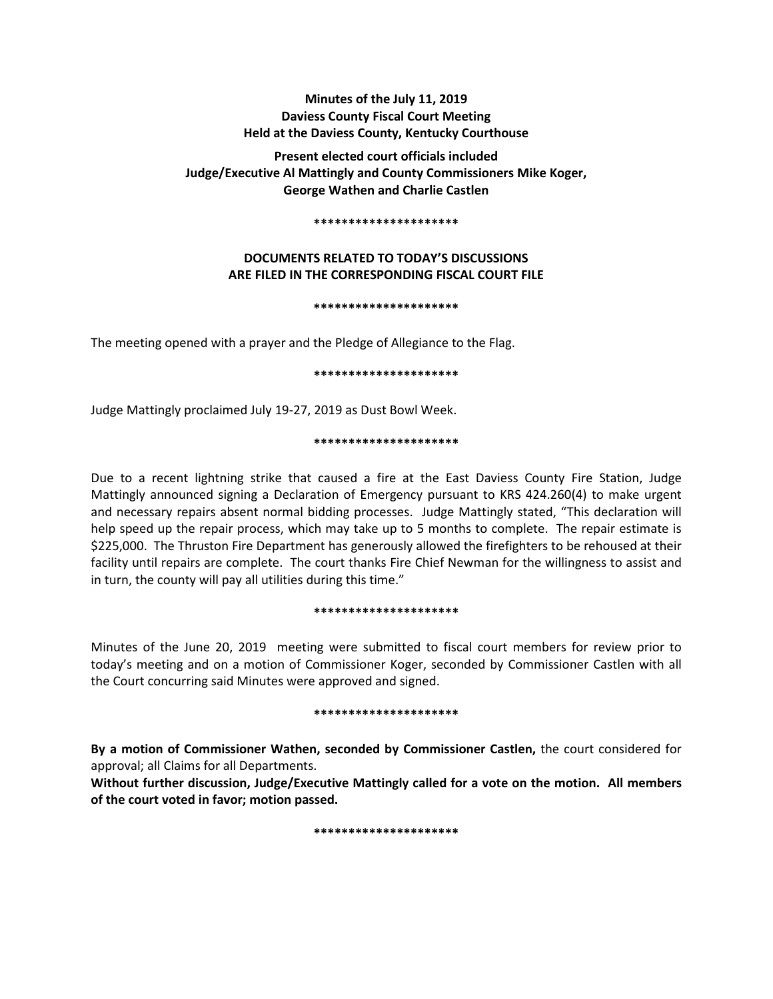# **Minutes of the July 11, 2019 Daviess County Fiscal Court Meeting Held at the Daviess County, Kentucky Courthouse**

**Present elected court officials included Judge/Executive Al Mattingly and County Commissioners Mike Koger, George Wathen and Charlie Castlen** 

#### **\*\*\*\*\*\*\*\*\*\*\*\*\*\*\*\*\*\*\*\*\***

# **DOCUMENTS RELATED TO TODAY'S DISCUSSIONS ARE FILED IN THE CORRESPONDING FISCAL COURT FILE**

#### **\*\*\*\*\*\*\*\*\*\*\*\*\*\*\*\*\*\*\*\*\***

The meeting opened with a prayer and the Pledge of Allegiance to the Flag.

### **\*\*\*\*\*\*\*\*\*\*\*\*\*\*\*\*\*\*\*\*\***

Judge Mattingly proclaimed July 19-27, 2019 as Dust Bowl Week.

## **\*\*\*\*\*\*\*\*\*\*\*\*\*\*\*\*\*\*\*\*\***

Due to a recent lightning strike that caused a fire at the East Daviess County Fire Station, Judge Mattingly announced signing a Declaration of Emergency pursuant to KRS 424.260(4) to make urgent and necessary repairs absent normal bidding processes. Judge Mattingly stated, "This declaration will help speed up the repair process, which may take up to 5 months to complete. The repair estimate is \$225,000. The Thruston Fire Department has generously allowed the firefighters to be rehoused at their facility until repairs are complete. The court thanks Fire Chief Newman for the willingness to assist and in turn, the county will pay all utilities during this time."

### **\*\*\*\*\*\*\*\*\*\*\*\*\*\*\*\*\*\*\*\*\***

Minutes of the June 20, 2019 meeting were submitted to fiscal court members for review prior to today's meeting and on a motion of Commissioner Koger, seconded by Commissioner Castlen with all the Court concurring said Minutes were approved and signed.

### **\*\*\*\*\*\*\*\*\*\*\*\*\*\*\*\*\*\*\*\*\***

**By a motion of Commissioner Wathen, seconded by Commissioner Castlen,** the court considered for approval; all Claims for all Departments.

**Without further discussion, Judge/Executive Mattingly called for a vote on the motion. All members of the court voted in favor; motion passed.** 

**\*\*\*\*\*\*\*\*\*\*\*\*\*\*\*\*\*\*\*\*\***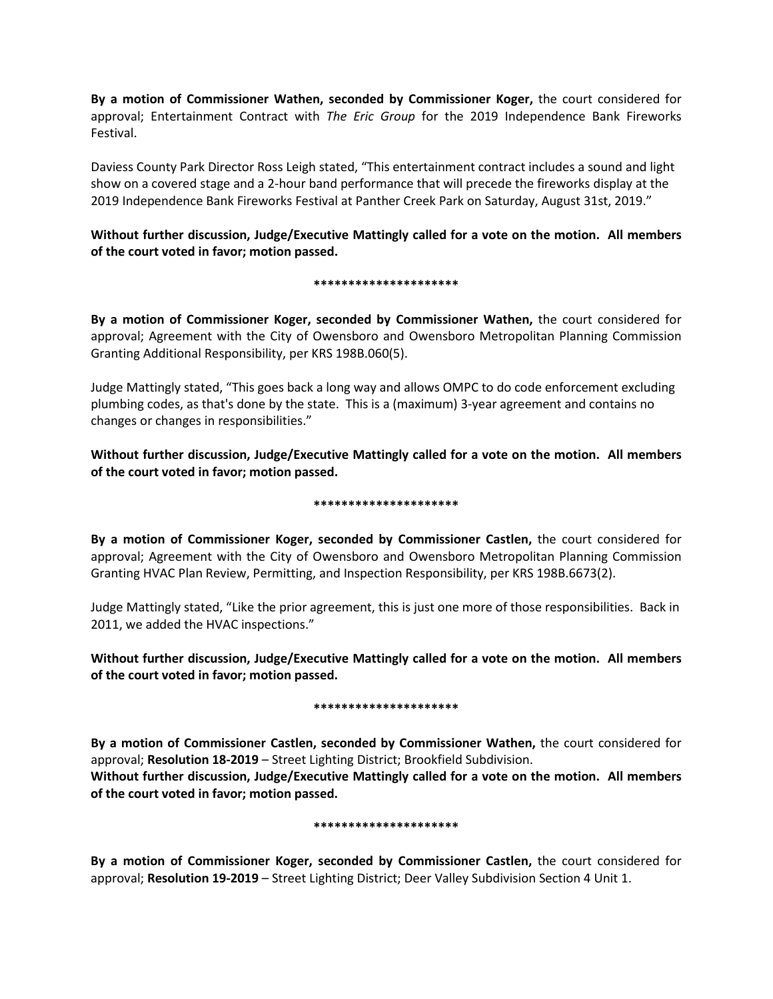**By a motion of Commissioner Wathen, seconded by Commissioner Koger,** the court considered for approval; Entertainment Contract with *The Eric Group* for the 2019 Independence Bank Fireworks Festival.

Daviess County Park Director Ross Leigh stated, "This entertainment contract includes a sound and light show on a covered stage and a 2-hour band performance that will precede the fireworks display at the 2019 Independence Bank Fireworks Festival at Panther Creek Park on Saturday, August 31st, 2019."

**Without further discussion, Judge/Executive Mattingly called for a vote on the motion. All members of the court voted in favor; motion passed.** 

## **\*\*\*\*\*\*\*\*\*\*\*\*\*\*\*\*\*\*\*\*\***

**By a motion of Commissioner Koger, seconded by Commissioner Wathen,** the court considered for approval; Agreement with the City of Owensboro and Owensboro Metropolitan Planning Commission Granting Additional Responsibility, per KRS 198B.060(5).

Judge Mattingly stated, "This goes back a long way and allows OMPC to do code enforcement excluding plumbing codes, as that's done by the state. This is a (maximum) 3-year agreement and contains no changes or changes in responsibilities."

**Without further discussion, Judge/Executive Mattingly called for a vote on the motion. All members of the court voted in favor; motion passed.** 

## **\*\*\*\*\*\*\*\*\*\*\*\*\*\*\*\*\*\*\*\*\***

**By a motion of Commissioner Koger, seconded by Commissioner Castlen,** the court considered for approval; Agreement with the City of Owensboro and Owensboro Metropolitan Planning Commission Granting HVAC Plan Review, Permitting, and Inspection Responsibility, per KRS 198B.6673(2).

Judge Mattingly stated, "Like the prior agreement, this is just one more of those responsibilities. Back in 2011, we added the HVAC inspections."

**Without further discussion, Judge/Executive Mattingly called for a vote on the motion. All members of the court voted in favor; motion passed.** 

# **\*\*\*\*\*\*\*\*\*\*\*\*\*\*\*\*\*\*\*\*\***

**By a motion of Commissioner Castlen, seconded by Commissioner Wathen,** the court considered for approval; **Resolution 18-2019** – Street Lighting District; Brookfield Subdivision.

**Without further discussion, Judge/Executive Mattingly called for a vote on the motion. All members of the court voted in favor; motion passed.** 

### **\*\*\*\*\*\*\*\*\*\*\*\*\*\*\*\*\*\*\*\*\***

**By a motion of Commissioner Koger, seconded by Commissioner Castlen,** the court considered for approval; **Resolution 19-2019** – Street Lighting District; Deer Valley Subdivision Section 4 Unit 1.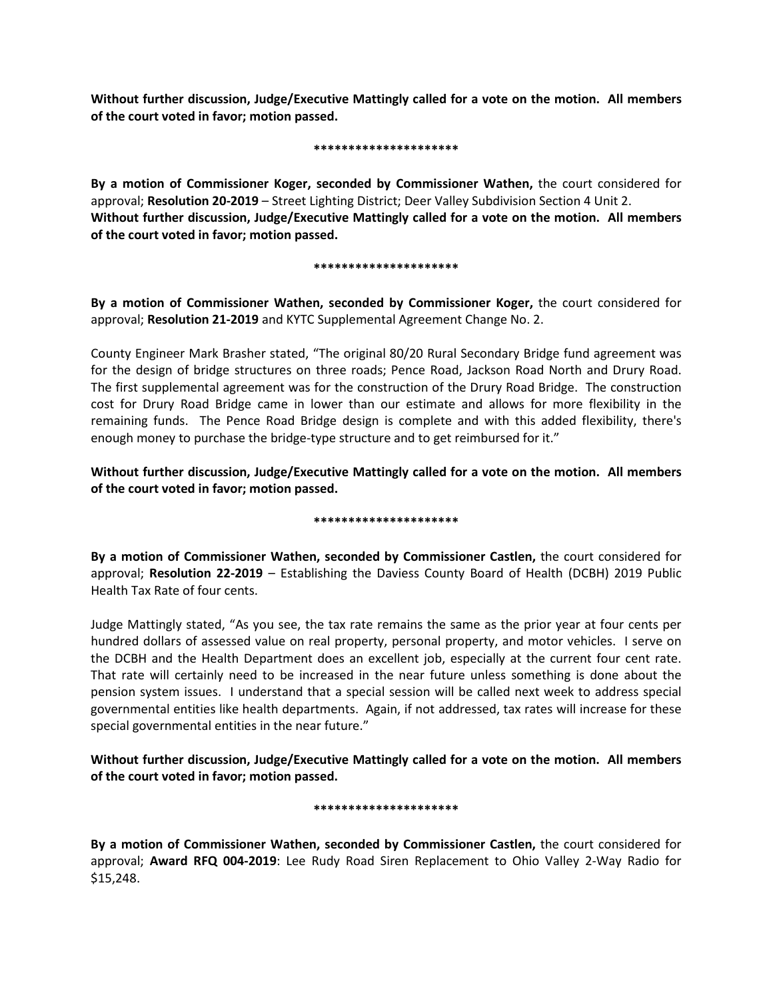**Without further discussion, Judge/Executive Mattingly called for a vote on the motion. All members of the court voted in favor; motion passed.** 

## **\*\*\*\*\*\*\*\*\*\*\*\*\*\*\*\*\*\*\*\*\***

**By a motion of Commissioner Koger, seconded by Commissioner Wathen,** the court considered for approval; **Resolution 20-2019** – Street Lighting District; Deer Valley Subdivision Section 4 Unit 2. **Without further discussion, Judge/Executive Mattingly called for a vote on the motion. All members of the court voted in favor; motion passed.** 

## **\*\*\*\*\*\*\*\*\*\*\*\*\*\*\*\*\*\*\*\*\***

**By a motion of Commissioner Wathen, seconded by Commissioner Koger,** the court considered for approval; **Resolution 21-2019** and KYTC Supplemental Agreement Change No. 2.

County Engineer Mark Brasher stated, "The original 80/20 Rural Secondary Bridge fund agreement was for the design of bridge structures on three roads; Pence Road, Jackson Road North and Drury Road. The first supplemental agreement was for the construction of the Drury Road Bridge. The construction cost for Drury Road Bridge came in lower than our estimate and allows for more flexibility in the remaining funds. The Pence Road Bridge design is complete and with this added flexibility, there's enough money to purchase the bridge-type structure and to get reimbursed for it."

**Without further discussion, Judge/Executive Mattingly called for a vote on the motion. All members of the court voted in favor; motion passed.** 

# **\*\*\*\*\*\*\*\*\*\*\*\*\*\*\*\*\*\*\*\*\***

**By a motion of Commissioner Wathen, seconded by Commissioner Castlen,** the court considered for approval; **Resolution 22-2019** – Establishing the Daviess County Board of Health (DCBH) 2019 Public Health Tax Rate of four cents.

Judge Mattingly stated, "As you see, the tax rate remains the same as the prior year at four cents per hundred dollars of assessed value on real property, personal property, and motor vehicles. I serve on the DCBH and the Health Department does an excellent job, especially at the current four cent rate. That rate will certainly need to be increased in the near future unless something is done about the pension system issues. I understand that a special session will be called next week to address special governmental entities like health departments. Again, if not addressed, tax rates will increase for these special governmental entities in the near future."

**Without further discussion, Judge/Executive Mattingly called for a vote on the motion. All members of the court voted in favor; motion passed.** 

# **\*\*\*\*\*\*\*\*\*\*\*\*\*\*\*\*\*\*\*\*\***

**By a motion of Commissioner Wathen, seconded by Commissioner Castlen,** the court considered for approval; **Award RFQ 004-2019**: Lee Rudy Road Siren Replacement to Ohio Valley 2-Way Radio for \$15,248.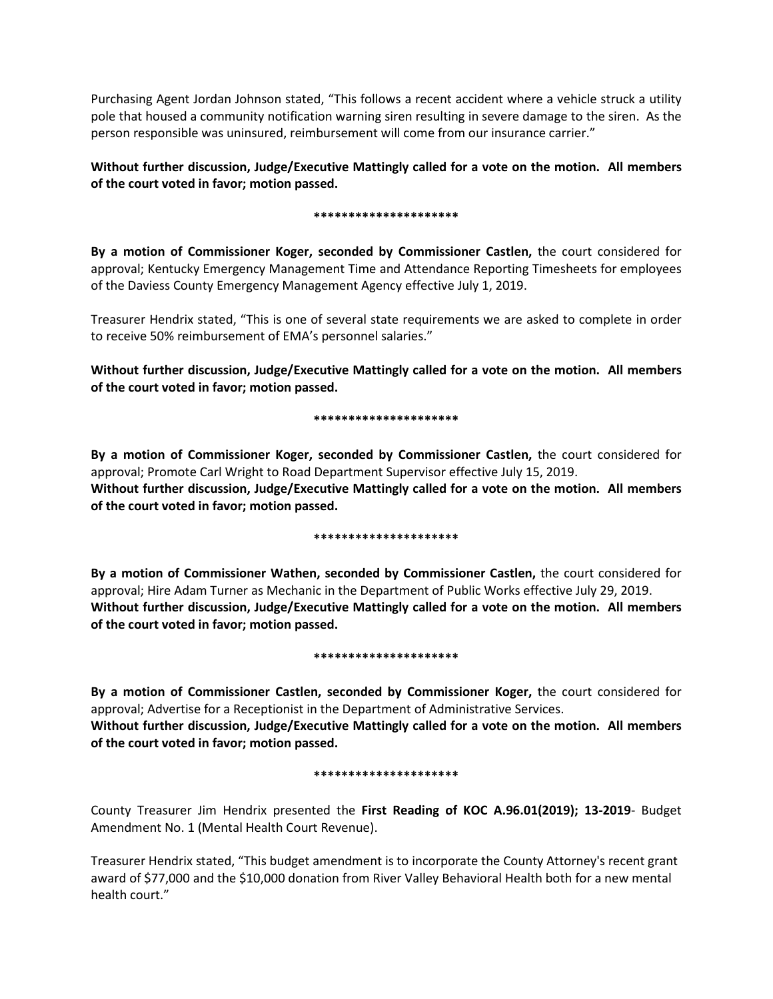Purchasing Agent Jordan Johnson stated, "This follows a recent accident where a vehicle struck a utility pole that housed a community notification warning siren resulting in severe damage to the siren. As the person responsible was uninsured, reimbursement will come from our insurance carrier."

**Without further discussion, Judge/Executive Mattingly called for a vote on the motion. All members of the court voted in favor; motion passed.** 

## **\*\*\*\*\*\*\*\*\*\*\*\*\*\*\*\*\*\*\*\*\***

**By a motion of Commissioner Koger, seconded by Commissioner Castlen,** the court considered for approval; Kentucky Emergency Management Time and Attendance Reporting Timesheets for employees of the Daviess County Emergency Management Agency effective July 1, 2019.

Treasurer Hendrix stated, "This is one of several state requirements we are asked to complete in order to receive 50% reimbursement of EMA's personnel salaries."

**Without further discussion, Judge/Executive Mattingly called for a vote on the motion. All members of the court voted in favor; motion passed.** 

## **\*\*\*\*\*\*\*\*\*\*\*\*\*\*\*\*\*\*\*\*\***

**By a motion of Commissioner Koger, seconded by Commissioner Castlen,** the court considered for approval; Promote Carl Wright to Road Department Supervisor effective July 15, 2019. **Without further discussion, Judge/Executive Mattingly called for a vote on the motion. All members of the court voted in favor; motion passed.** 

# **\*\*\*\*\*\*\*\*\*\*\*\*\*\*\*\*\*\*\*\*\***

**By a motion of Commissioner Wathen, seconded by Commissioner Castlen,** the court considered for approval; Hire Adam Turner as Mechanic in the Department of Public Works effective July 29, 2019. **Without further discussion, Judge/Executive Mattingly called for a vote on the motion. All members of the court voted in favor; motion passed.** 

### **\*\*\*\*\*\*\*\*\*\*\*\*\*\*\*\*\*\*\*\*\***

**By a motion of Commissioner Castlen, seconded by Commissioner Koger,** the court considered for approval; Advertise for a Receptionist in the Department of Administrative Services. **Without further discussion, Judge/Executive Mattingly called for a vote on the motion. All members of the court voted in favor; motion passed.** 

### **\*\*\*\*\*\*\*\*\*\*\*\*\*\*\*\*\*\*\*\*\***

County Treasurer Jim Hendrix presented the **First Reading of KOC A.96.01(2019); 13-2019**- Budget Amendment No. 1 (Mental Health Court Revenue).

Treasurer Hendrix stated, "This budget amendment is to incorporate the County Attorney's recent grant award of \$77,000 and the \$10,000 donation from River Valley Behavioral Health both for a new mental health court."